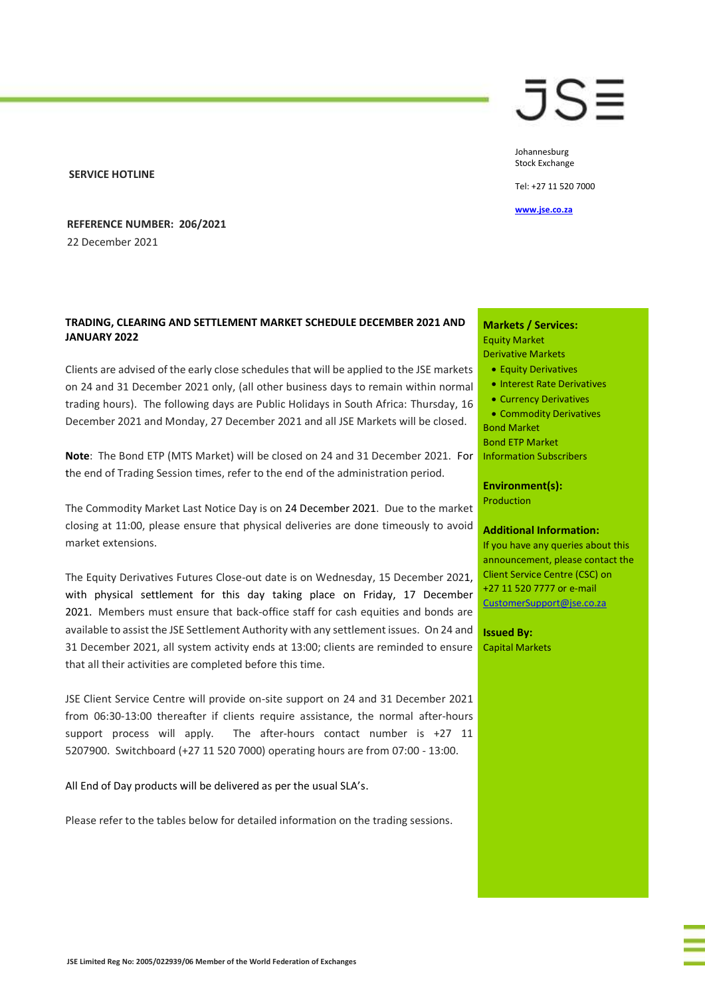#### **SERVICE HOTLINE**

**REFERENCE NUMBER: 206/2021** 22 December 2021

# **TRADING, CLEARING AND SETTLEMENT MARKET SCHEDULE DECEMBER 2021 AND JANUARY 2022**

Clients are advised of the early close schedules that will be applied to the JSE markets on 24 and 31 December 2021 only, (all other business days to remain within normal trading hours). The following days are Public Holidays in South Africa: Thursday, 16 December 2021 and Monday, 27 December 2021 and all JSE Markets will be closed.

**Note**: The Bond ETP (MTS Market) will be closed on 24 and 31 December 2021. For the end of Trading Session times, refer to the end of the administration period.

The Commodity Market Last Notice Day is on 24 December 2021. Due to the market closing at 11:00, please ensure that physical deliveries are done timeously to avoid market extensions.

The Equity Derivatives Futures Close-out date is on Wednesday, 15 December 2021, with physical settlement for this day taking place on Friday, 17 December 2021. Members must ensure that back-office staff for cash equities and bonds are available to assist the JSE Settlement Authority with any settlement issues. On 24 and 31 December 2021, all system activity ends at 13:00; clients are reminded to ensure that all their activities are completed before this time.

JSE Client Service Centre will provide on-site support on 24 and 31 December 2021 from 06:30-13:00 thereafter if clients require assistance, the normal after-hours support process will apply. The after-hours contact number is +27 11 5207900. Switchboard (+27 11 520 7000) operating hours are from 07:00 - 13:00.

All End of Day products will be delivered as per the usual SLA's.

Please refer to the tables below for detailed information on the trading sessions.

# JS≣

Johannesburg Stock Exchange

Tel: +27 11 520 7000

#### **[www.jse.co.za](http://www.jse.co.za/)**

# **Markets / Services:**

Equity Market Derivative Markets • Equity Derivatives

- Interest Rate Derivatives
- Currency Derivatives
- Commodity Derivatives Bond Market

Bond ETP Market Information Subscribers

#### **Environment(s):** Production

#### **Additional Information:**

If you have any queries about this announcement, please contact the Client Service Centre (CSC) on +27 11 520 7777 or e-mail [CustomerSupport@jse.co.za](mailto:CustomerSupport@jse.co.za)

**Issued By:** Capital Markets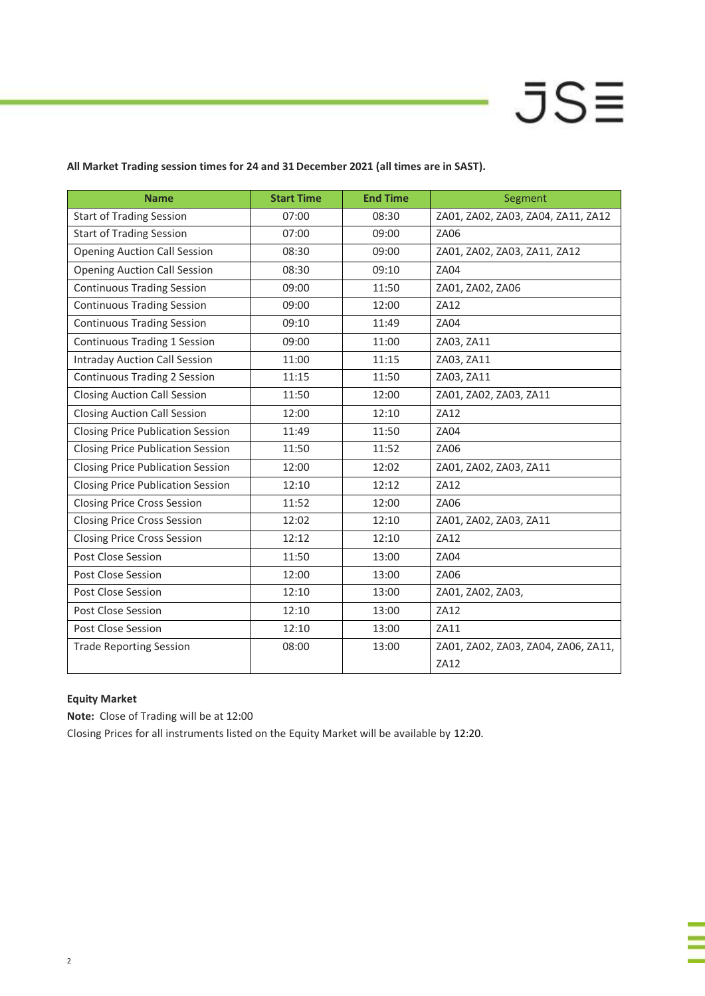**All Market Trading session times for 24 and 31 December 2021 (all times are in SAST).** 

| <b>Name</b>                              | <b>Start Time</b> | <b>End Time</b> | Segment                                     |  |
|------------------------------------------|-------------------|-----------------|---------------------------------------------|--|
| <b>Start of Trading Session</b>          | 07:00             | 08:30           | ZA01, ZA02, ZA03, ZA04, ZA11, ZA12          |  |
| <b>Start of Trading Session</b>          | 07:00             | 09:00           | ZA06                                        |  |
| <b>Opening Auction Call Session</b>      | 08:30             | 09:00           | ZA01, ZA02, ZA03, ZA11, ZA12                |  |
| <b>Opening Auction Call Session</b>      | 08:30             | 09:10           | <b>ZA04</b>                                 |  |
| <b>Continuous Trading Session</b>        | 09:00             | 11:50           | ZA01, ZA02, ZA06                            |  |
| <b>Continuous Trading Session</b>        | 09:00             | 12:00           | <b>ZA12</b>                                 |  |
| <b>Continuous Trading Session</b>        | 09:10             | 11:49           | ZA04                                        |  |
| <b>Continuous Trading 1 Session</b>      | 09:00             | 11:00           | ZA03, ZA11                                  |  |
| <b>Intraday Auction Call Session</b>     | 11:00             | 11:15           | ZA03, ZA11                                  |  |
| <b>Continuous Trading 2 Session</b>      | 11:15             | 11:50           | ZA03, ZA11                                  |  |
| <b>Closing Auction Call Session</b>      | 11:50             | 12:00           | ZA01, ZA02, ZA03, ZA11                      |  |
| <b>Closing Auction Call Session</b>      | 12:00             | 12:10           | ZA12                                        |  |
| <b>Closing Price Publication Session</b> | 11:49             | 11:50           | ZA04                                        |  |
| <b>Closing Price Publication Session</b> | 11:50             | 11:52           | ZA06                                        |  |
| <b>Closing Price Publication Session</b> | 12:00             | 12:02           | ZA01, ZA02, ZA03, ZA11                      |  |
| <b>Closing Price Publication Session</b> | 12:10             | 12:12           | ZA12                                        |  |
| <b>Closing Price Cross Session</b>       | 11:52             | 12:00           | <b>ZA06</b>                                 |  |
| <b>Closing Price Cross Session</b>       | 12:02             | 12:10           | ZA01, ZA02, ZA03, ZA11                      |  |
| <b>Closing Price Cross Session</b>       | 12:12             | 12:10           | ZA12                                        |  |
| Post Close Session                       | 11:50             | 13:00           | ZA04                                        |  |
| Post Close Session                       | 12:00             | 13:00           | ZA06                                        |  |
| Post Close Session                       | 12:10             | 13:00           | ZA01, ZA02, ZA03,                           |  |
| Post Close Session                       | 12:10             | 13:00           | ZA12                                        |  |
| Post Close Session                       | 12:10             | 13:00           | ZA11                                        |  |
| <b>Trade Reporting Session</b>           | 08:00             | 13:00           | ZA01, ZA02, ZA03, ZA04, ZA06, ZA11,<br>ZA12 |  |

# **Equity Market**

**Note:** Close of Trading will be at 12:00

Closing Prices for all instruments listed on the Equity Market will be available by 12:20.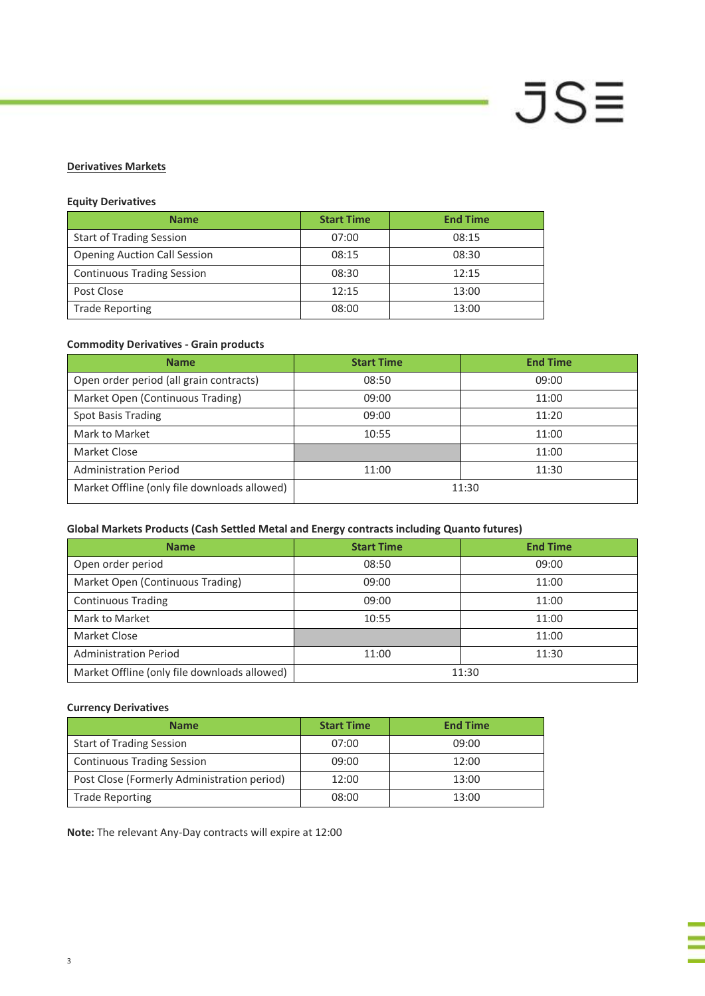# **JSE**

# **Derivatives Markets**

# **Equity Derivatives**

| <b>Name</b>                         | <b>Start Time</b> | <b>End Time</b> |
|-------------------------------------|-------------------|-----------------|
| <b>Start of Trading Session</b>     | 07:00             | 08:15           |
| <b>Opening Auction Call Session</b> | 08:15             | 08:30           |
| <b>Continuous Trading Session</b>   | 08:30             | 12:15           |
| Post Close                          | 12:15             | 13:00           |
| <b>Trade Reporting</b>              | 08:00             | 13:00           |

# **Commodity Derivatives - Grain products**

| <b>Name</b>                                  | <b>Start Time</b> | <b>End Time</b> |
|----------------------------------------------|-------------------|-----------------|
| Open order period (all grain contracts)      | 08:50             | 09:00           |
| Market Open (Continuous Trading)             | 09:00             | 11:00           |
| Spot Basis Trading                           | 09:00             | 11:20           |
| Mark to Market                               | 10:55             | 11:00           |
| Market Close                                 |                   | 11:00           |
| <b>Administration Period</b>                 | 11:00             | 11:30           |
| Market Offline (only file downloads allowed) | 11:30             |                 |

# **Global Markets Products (Cash Settled Metal and Energy contracts including Quanto futures)**

| <b>Name</b>                                  | <b>Start Time</b> | <b>End Time</b> |
|----------------------------------------------|-------------------|-----------------|
| Open order period                            | 08:50             | 09:00           |
| Market Open (Continuous Trading)             | 09:00             | 11:00           |
| <b>Continuous Trading</b>                    | 09:00             | 11:00           |
| Mark to Market                               | 10:55             | 11:00           |
| Market Close                                 |                   | 11:00           |
| <b>Administration Period</b>                 | 11:00             | 11:30           |
| Market Offline (only file downloads allowed) | 11:30             |                 |

# **Currency Derivatives**

| <b>Name</b>                                 | <b>Start Time</b> | <b>End Time</b> |
|---------------------------------------------|-------------------|-----------------|
| <b>Start of Trading Session</b>             | 07:00             | 09:00           |
| <b>Continuous Trading Session</b>           | 09:00             | 12:00           |
| Post Close (Formerly Administration period) | 12:00             | 13:00           |
| <b>Trade Reporting</b>                      | 08:00             | 13:00           |

**Note:** The relevant Any-Day contracts will expire at 12:00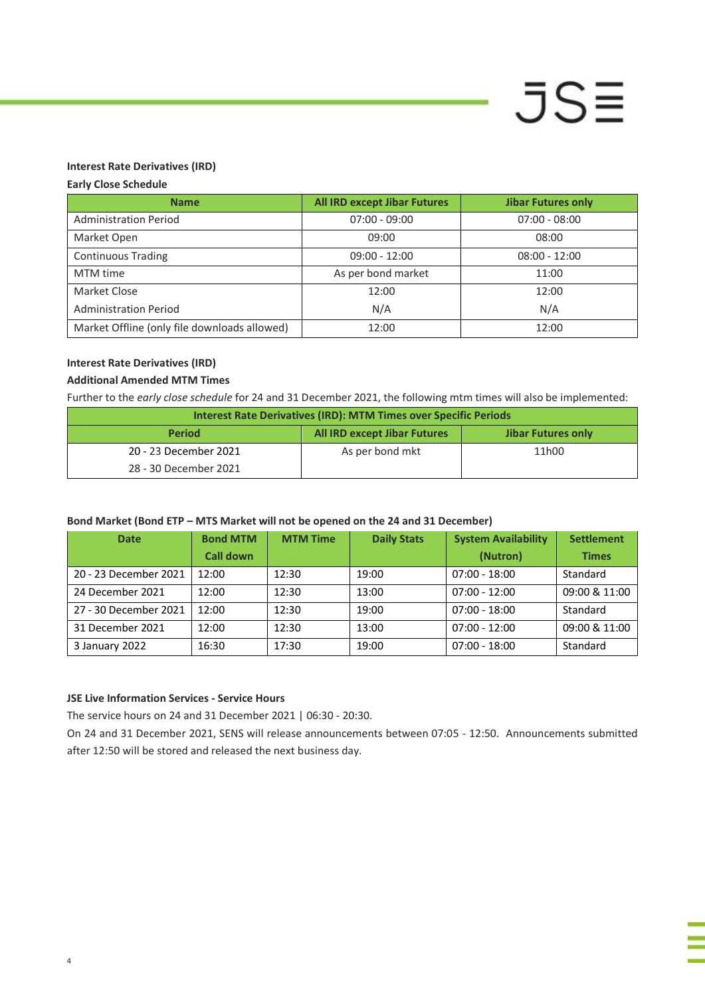#### **Interest Rate Derivatives (IRD)**

#### **Early Close Schedule**

| <b>Name</b>                                  | <b>All IRD except Jibar Futures</b> | <b>Jibar Futures only</b> |
|----------------------------------------------|-------------------------------------|---------------------------|
| <b>Administration Period</b>                 | $07:00 - 09:00$                     | $07:00 - 08:00$           |
| Market Open                                  | 09:00                               | 08:00                     |
| <b>Continuous Trading</b>                    | $09:00 - 12:00$                     | $08:00 - 12:00$           |
| MTM time                                     | As per bond market                  | 11:00                     |
| Market Close                                 | 12:00                               | 12:00                     |
| <b>Administration Period</b>                 | N/A                                 | N/A                       |
| Market Offline (only file downloads allowed) | 12:00                               | 12:00                     |

**JSE** 

#### **Interest Rate Derivatives (IRD)**

### **Additional Amended MTM Times**

Further to the *early close schedule* for 24 and 31 December 2021, the following mtm times will also be implemented:

| <b>Interest Rate Derivatives (IRD): MTM Times over Specific Periods</b>    |                 |       |  |  |
|----------------------------------------------------------------------------|-----------------|-------|--|--|
| <b>All IRD except Jibar Futures</b><br><b>Period</b><br>Jibar Futures only |                 |       |  |  |
| 20 - 23 December 2021                                                      | As per bond mkt | 11h00 |  |  |
| 28 - 30 December 2021                                                      |                 |       |  |  |

#### **Bond Market (Bond ETP – MTS Market will not be opened on the 24 and 31 December)**

| <b>Date</b>           | <b>Bond MTM</b>  | <b>MTM Time</b> | <b>Daily Stats</b> | <b>System Availability</b> | <b>Settlement</b> |
|-----------------------|------------------|-----------------|--------------------|----------------------------|-------------------|
|                       | <b>Call down</b> |                 |                    | (Nutron)                   | <b>Times</b>      |
| 20 - 23 December 2021 | 12:00            | 12:30           | 19:00              | $07:00 - 18:00$            | Standard          |
| 24 December 2021      | 12:00            | 12:30           | 13:00              | $07:00 - 12:00$            | 09:00 & 11:00     |
| 27 - 30 December 2021 | 12:00            | 12:30           | 19:00              | $07:00 - 18:00$            | Standard          |
| 31 December 2021      | 12:00            | 12:30           | 13:00              | $07:00 - 12:00$            | 09:00 & 11:00     |
| 3 January 2022        | 16:30            | 17:30           | 19:00              | $07:00 - 18:00$            | Standard          |

# **JSE Live Information Services - Service Hours**

The service hours on 24 and 31 December 2021 | 06:30 - 20:30.

On 24 and 31 December 2021, SENS will release announcements between 07:05 - 12:50. Announcements submitted after 12:50 will be stored and released the next business day.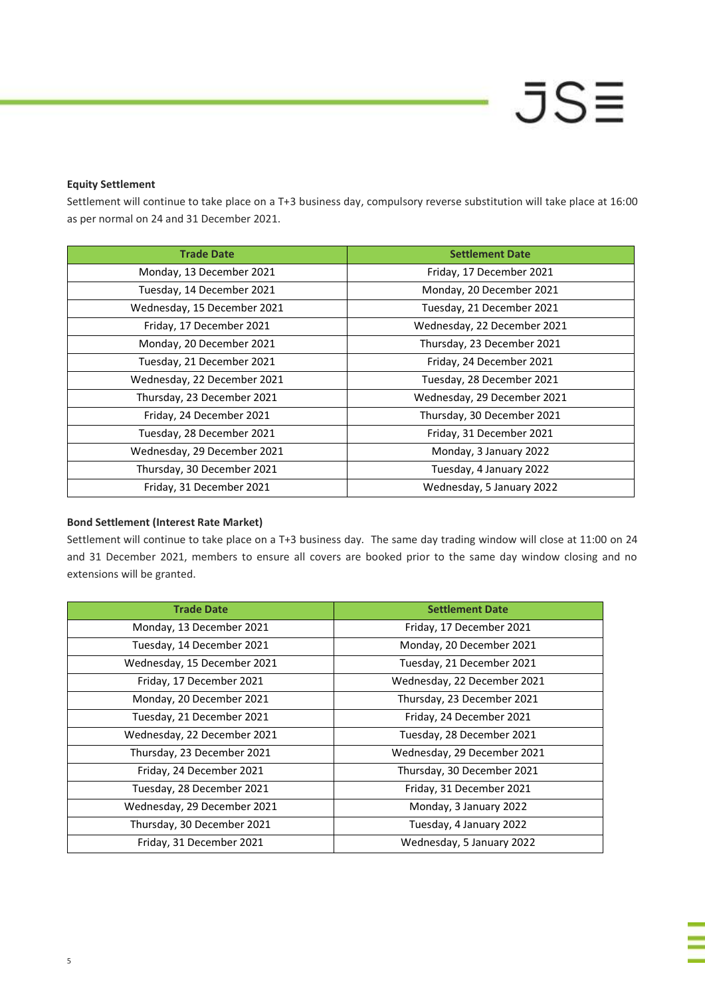# **JSE**

### **Equity Settlement**

Settlement will continue to take place on a T+3 business day, compulsory reverse substitution will take place at 16:00 as per normal on 24 and 31 December 2021.

| <b>Trade Date</b>           | <b>Settlement Date</b>      |
|-----------------------------|-----------------------------|
| Monday, 13 December 2021    | Friday, 17 December 2021    |
| Tuesday, 14 December 2021   | Monday, 20 December 2021    |
| Wednesday, 15 December 2021 | Tuesday, 21 December 2021   |
| Friday, 17 December 2021    | Wednesday, 22 December 2021 |
| Monday, 20 December 2021    | Thursday, 23 December 2021  |
| Tuesday, 21 December 2021   | Friday, 24 December 2021    |
| Wednesday, 22 December 2021 | Tuesday, 28 December 2021   |
| Thursday, 23 December 2021  | Wednesday, 29 December 2021 |
| Friday, 24 December 2021    | Thursday, 30 December 2021  |
| Tuesday, 28 December 2021   | Friday, 31 December 2021    |
| Wednesday, 29 December 2021 | Monday, 3 January 2022      |
| Thursday, 30 December 2021  | Tuesday, 4 January 2022     |
| Friday, 31 December 2021    | Wednesday, 5 January 2022   |

#### **Bond Settlement (Interest Rate Market)**

Settlement will continue to take place on a T+3 business day. The same day trading window will close at 11:00 on 24 and 31 December 2021, members to ensure all covers are booked prior to the same day window closing and no extensions will be granted.

| <b>Trade Date</b>           | <b>Settlement Date</b>      |
|-----------------------------|-----------------------------|
| Monday, 13 December 2021    | Friday, 17 December 2021    |
| Tuesday, 14 December 2021   | Monday, 20 December 2021    |
| Wednesday, 15 December 2021 | Tuesday, 21 December 2021   |
| Friday, 17 December 2021    | Wednesday, 22 December 2021 |
| Monday, 20 December 2021    | Thursday, 23 December 2021  |
| Tuesday, 21 December 2021   | Friday, 24 December 2021    |
| Wednesday, 22 December 2021 | Tuesday, 28 December 2021   |
| Thursday, 23 December 2021  | Wednesday, 29 December 2021 |
| Friday, 24 December 2021    | Thursday, 30 December 2021  |
| Tuesday, 28 December 2021   | Friday, 31 December 2021    |
| Wednesday, 29 December 2021 | Monday, 3 January 2022      |
| Thursday, 30 December 2021  | Tuesday, 4 January 2022     |
| Friday, 31 December 2021    | Wednesday, 5 January 2022   |